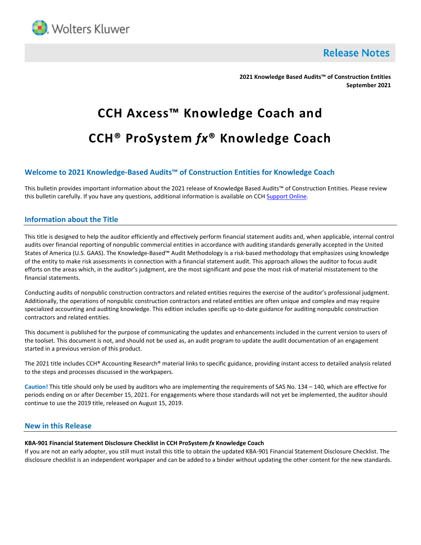

**Release Notes** 

**2021 Knowledge Based Audits™ of Construction Entities September 2021**

# **CCH Axcess™ Knowledge Coach and CCH® ProSystem** *fx***® Knowledge Coach**

# **Welcome to 2021 Knowledge-Based Audits™ of Construction Entities for Knowledge Coach**

This bulletin provides important information about the 2021 release of Knowledge Based Audits™ of Construction Entities. Please review this bulletin carefully. If you have any questions, additional information is available on CCH [Support Online.](http://support.cch.com/productsupport/)

## **Information about the Title**

This title is designed to help the auditor efficiently and effectively perform financial statement audits and, when applicable, internal control audits over financial reporting of nonpublic commercial entities in accordance with auditing standards generally accepted in the United States of America (U.S. GAAS). The Knowledge-Based™ Audit Methodology is a risk-based methodology that emphasizes using knowledge of the entity to make risk assessments in connection with a financial statement audit. This approach allows the auditor to focus audit efforts on the areas which, in the auditor's judgment, are the most significant and pose the most risk of material misstatement to the financial statements.

Conducting audits of nonpublic construction contractors and related entities requires the exercise of the auditor's professional judgment. Additionally, the operations of nonpublic construction contractors and related entities are often unique and complex and may require specialized accounting and auditing knowledge. This edition includes specific up-to-date guidance for auditing nonpublic construction contractors and related entities.

This document is published for the purpose of communicating the updates and enhancements included in the current version to users of the toolset. This document is not, and should not be used as, an audit program to update the audit documentation of an engagement started in a previous version of this product.

The 2021 title includes CCH® Accounting Research® material links to specific guidance, providing instant access to detailed analysis related to the steps and processes discussed in the workpapers.

**Caution!** This title should only be used by auditors who are implementing the requirements of SAS No. 134 – 140, which are effective for periods ending on or after December 15, 2021. For engagements where those standards will not yet be implemented, the auditor should continue to use the 2019 title, released on August 15, 2019.

## **New in this Release**

## **KBA-901 Financial Statement Disclosure Checklist in CCH ProSystem** *fx* **Knowledge Coach**

If you are not an early adopter, you still must install this title to obtain the updated KBA-901 Financial Statement Disclosure Checklist. The disclosure checklist is an independent workpaper and can be added to a binder without updating the other content for the new standards.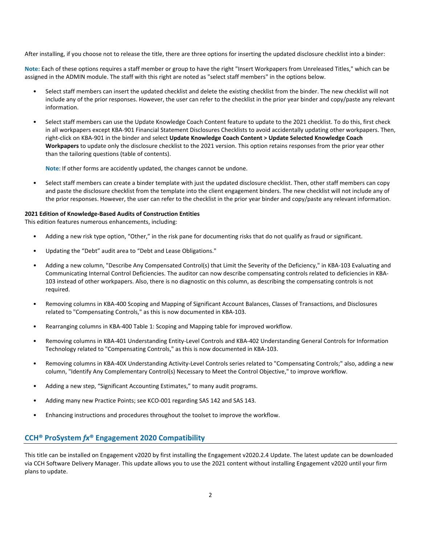After installing, if you choose not to release the title, there are three options for inserting the updated disclosure checklist into a binder:

**Note:** Each of these options requires a staff member or group to have the right "Insert Workpapers from Unreleased Titles," which can be assigned in the ADMIN module. The staff with this right are noted as "select staff members" in the options below.

- Select staff members can insert the updated checklist and delete the existing checklist from the binder. The new checklist will not include any of the prior responses. However, the user can refer to the checklist in the prior year binder and copy/paste any relevant information.
- Select staff members can use the Update Knowledge Coach Content feature to update to the 2021 checklist. To do this, first check in all workpapers except KBA-901 Financial Statement Disclosures Checklists to avoid accidentally updating other workpapers. Then, right-click on KBA-901 in the binder and select **Update Knowledge Coach Content > Update Selected Knowledge Coach Workpapers** to update only the disclosure checklist to the 2021 version. This option retains responses from the prior year other than the tailoring questions (table of contents).

**Note**: If other forms are accidently updated, the changes cannot be undone.

• Select staff members can create a binder template with just the updated disclosure checklist. Then, other staff members can copy and paste the disclosure checklist from the template into the client engagement binders. The new checklist will not include any of the prior responses. However, the user can refer to the checklist in the prior year binder and copy/paste any relevant information.

### **2021 Edition of Knowledge-Based Audits of Construction Entities**

This edition features numerous enhancements, including:

- Adding a new risk type option, "Other," in the risk pane for documenting risks that do not qualify as fraud or significant.
- Updating the "Debt" audit area to "Debt and Lease Obligations."
- Adding a new column, "Describe Any Compensated Control(s) that Limit the Severity of the Deficiency," in KBA-103 Evaluating and Communicating Internal Control Deficiencies. The auditor can now describe compensating controls related to deficiencies in KBA-103 instead of other workpapers. Also, there is no diagnostic on this column, as describing the compensating controls is not required.
- Removing columns in KBA-400 Scoping and Mapping of Significant Account Balances, Classes of Transactions, and Disclosures related to "Compensating Controls," as this is now documented in KBA-103.
- Rearranging columns in KBA-400 Table 1: Scoping and Mapping table for improved workflow.
- Removing columns in KBA-401 Understanding Entity-Level Controls and KBA-402 Understanding General Controls for Information Technology related to "Compensating Controls," as this is now documented in KBA-103.
- Removing columns in KBA-40X Understanding Activity-Level Controls series related to "Compensating Controls;" also, adding a new column, "Identify Any Complementary Control(s) Necessary to Meet the Control Objective," to improve workflow.
- Adding a new step, "Significant Accounting Estimates," to many audit programs.
- Adding many new Practice Points; see KCO-001 regarding SAS 142 and SAS 143.
- Enhancing instructions and procedures throughout the toolset to improve the workflow.

# **CCH® ProSystem** *fx***® Engagement 2020 Compatibility**

This title can be installed on Engagement v2020 by first installing the Engagement v2020.2.4 Update. The latest update can be downloaded via CCH Software Delivery Manager. This update allows you to use the 2021 content without installing Engagement v2020 until your firm plans to update.